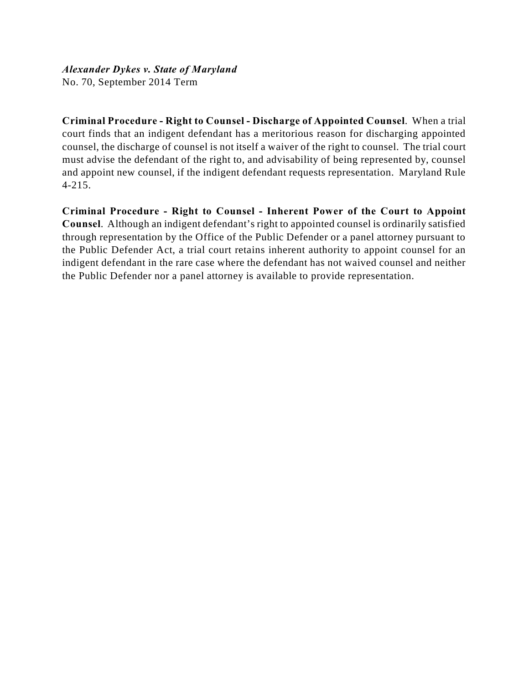*Alexander Dykes v. State of Maryland*  No. 70, September 2014 Term

**Criminal Procedure - Right to Counsel - Discharge of Appointed Counsel**. When a trial court finds that an indigent defendant has a meritorious reason for discharging appointed counsel, the discharge of counsel is not itself a waiver of the right to counsel. The trial court must advise the defendant of the right to, and advisability of being represented by, counsel and appoint new counsel, if the indigent defendant requests representation. Maryland Rule 4-215.

**Criminal Procedure - Right to Counsel - Inherent Power of the Court to Appoint Counsel**. Although an indigent defendant's right to appointed counsel is ordinarily satisfied through representation by the Office of the Public Defender or a panel attorney pursuant to the Public Defender Act, a trial court retains inherent authority to appoint counsel for an indigent defendant in the rare case where the defendant has not waived counsel and neither the Public Defender nor a panel attorney is available to provide representation.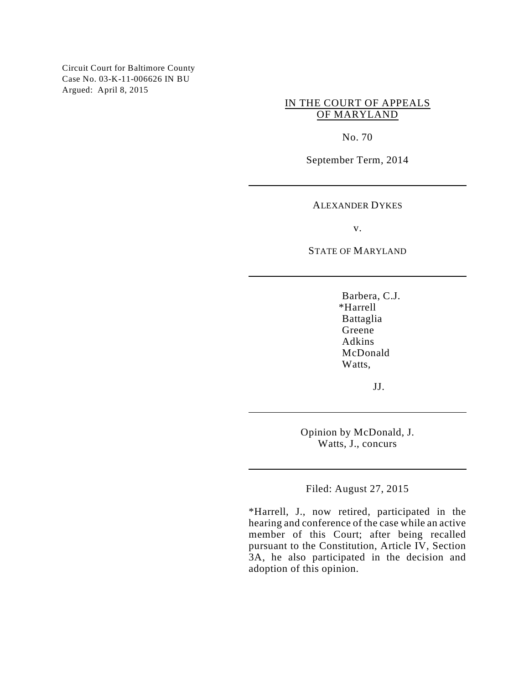Circuit Court for Baltimore County Case No. 03-K-11-006626 IN BU Argued: April 8, 2015

### IN THE COURT OF APPEALS OF MARYLAND

No. 70

September Term, 2014

ALEXANDER DYKES

v.

STATE OF MARYLAND

Barbera, C.J. \*Harrell Battaglia Greene Adkins McDonald Watts,

JJ.

Opinion by McDonald, J. Watts, J., concurs

Filed: August 27, 2015

\*Harrell, J., now retired, participated in the hearing and conference of the case while an active member of this Court; after being recalled pursuant to the Constitution, Article IV, Section 3A, he also participated in the decision and adoption of this opinion.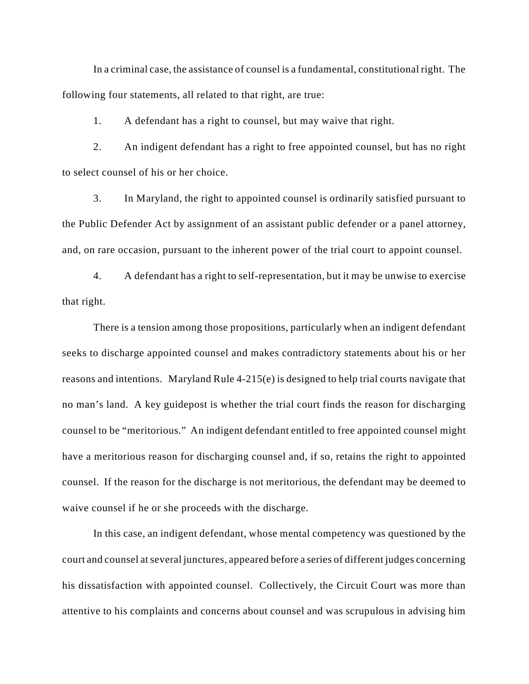In a criminal case, the assistance of counsel is a fundamental, constitutional right. The following four statements, all related to that right, are true:

1. A defendant has a right to counsel, but may waive that right.

2. An indigent defendant has a right to free appointed counsel, but has no right to select counsel of his or her choice.

3. In Maryland, the right to appointed counsel is ordinarily satisfied pursuant to the Public Defender Act by assignment of an assistant public defender or a panel attorney, and, on rare occasion, pursuant to the inherent power of the trial court to appoint counsel.

4. A defendant has a right to self-representation, but it may be unwise to exercise that right.

There is a tension among those propositions, particularly when an indigent defendant seeks to discharge appointed counsel and makes contradictory statements about his or her reasons and intentions. Maryland Rule 4-215(e) is designed to help trial courts navigate that no man's land. A key guidepost is whether the trial court finds the reason for discharging counsel to be "meritorious." An indigent defendant entitled to free appointed counsel might have a meritorious reason for discharging counsel and, if so, retains the right to appointed counsel. If the reason for the discharge is not meritorious, the defendant may be deemed to waive counsel if he or she proceeds with the discharge.

In this case, an indigent defendant, whose mental competency was questioned by the court and counsel at several junctures, appeared before a series of different judges concerning his dissatisfaction with appointed counsel. Collectively, the Circuit Court was more than attentive to his complaints and concerns about counsel and was scrupulous in advising him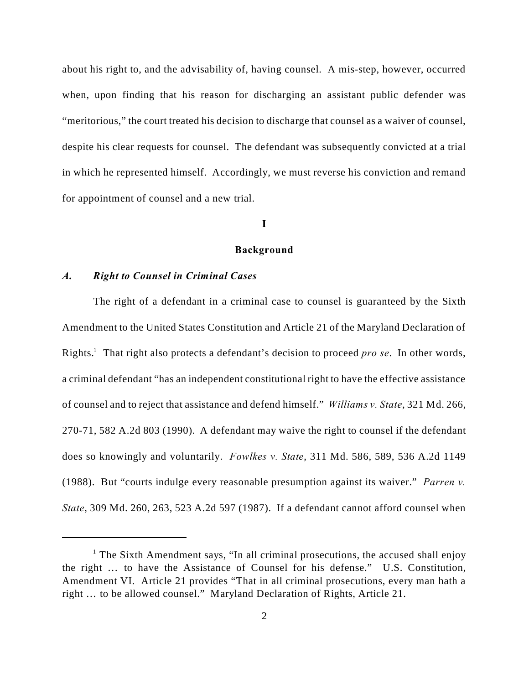about his right to, and the advisability of, having counsel. A mis-step, however, occurred when, upon finding that his reason for discharging an assistant public defender was "meritorious," the court treated his decision to discharge that counsel as a waiver of counsel, despite his clear requests for counsel. The defendant was subsequently convicted at a trial in which he represented himself. Accordingly, we must reverse his conviction and remand for appointment of counsel and a new trial.

### **I**

#### **Background**

#### *A. Right to Counsel in Criminal Cases*

The right of a defendant in a criminal case to counsel is guaranteed by the Sixth Amendment to the United States Constitution and Article 21 of the Maryland Declaration of Rights.<sup>1</sup> That right also protects a defendant's decision to proceed *pro se*. In other words, a criminal defendant "has an independent constitutional right to have the effective assistance of counsel and to reject that assistance and defend himself." *Williams v. State*, 321 Md. 266, 270-71, 582 A.2d 803 (1990). A defendant may waive the right to counsel if the defendant does so knowingly and voluntarily. *Fowlkes v. State*, 311 Md. 586, 589, 536 A.2d 1149 (1988). But "courts indulge every reasonable presumption against its waiver." *Parren v. State*, 309 Md. 260, 263, 523 A.2d 597 (1987). If a defendant cannot afford counsel when

<sup>&</sup>lt;sup>1</sup> The Sixth Amendment says, "In all criminal prosecutions, the accused shall enjoy the right … to have the Assistance of Counsel for his defense." U.S. Constitution, Amendment VI. Article 21 provides "That in all criminal prosecutions, every man hath a right … to be allowed counsel." Maryland Declaration of Rights, Article 21.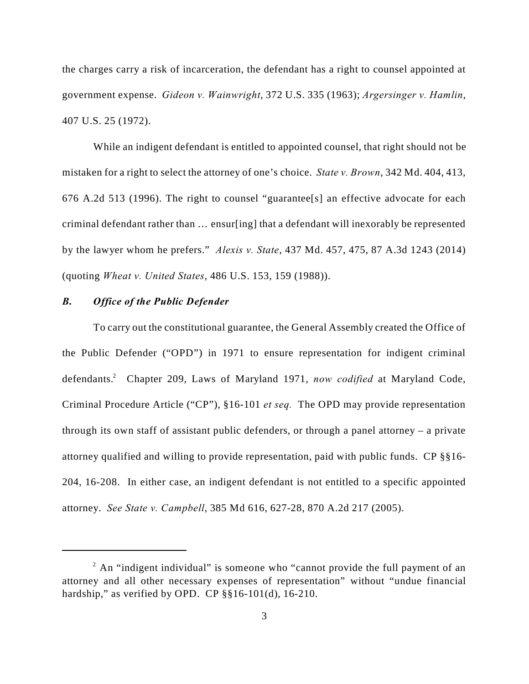the charges carry a risk of incarceration, the defendant has a right to counsel appointed at government expense. *Gideon v. Wainwright*, 372 U.S. 335 (1963); *Argersinger v. Hamlin*, 407 U.S. 25 (1972).

 While an indigent defendant is entitled to appointed counsel, that right should not be mistaken for a right to select the attorney of one's choice. *State v. Brown*, 342 Md. 404, 413, 676 A.2d 513 (1996). The right to counsel "guarantee[s] an effective advocate for each criminal defendant rather than … ensur[ing] that a defendant will inexorably be represented by the lawyer whom he prefers." *Alexis v. State*, 437 Md. 457, 475, 87 A.3d 1243 (2014) (quoting *Wheat v. United States*, 486 U.S. 153, 159 (1988)).

## *B. Office of the Public Defender*

To carry out the constitutional guarantee, the General Assembly created the Office of the Public Defender ("OPD") in 1971 to ensure representation for indigent criminal defendants.<sup>2</sup> Chapter 209, Laws of Maryland 1971, *now codified* at Maryland Code, Criminal Procedure Article ("CP"), §16-101 *et seq.* The OPD may provide representation through its own staff of assistant public defenders, or through a panel attorney – a private attorney qualified and willing to provide representation, paid with public funds. CP §§16- 204, 16-208. In either case, an indigent defendant is not entitled to a specific appointed attorney. *See State v. Campbell*, 385 Md 616, 627-28, 870 A.2d 217 (2005).

 $^2$  An "indigent individual" is someone who "cannot provide the full payment of an attorney and all other necessary expenses of representation" without "undue financial hardship," as verified by OPD. CP  $\S$ §16-101(d), 16-210.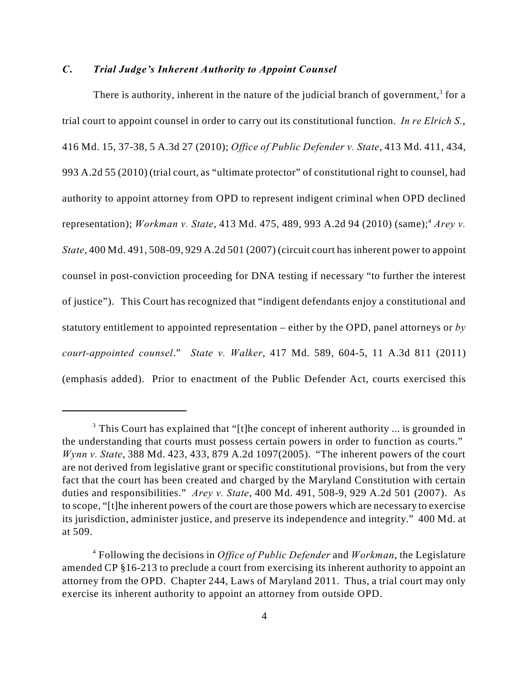### *C***.** *Trial Judge's Inherent Authority to Appoint Counsel*

There is authority, inherent in the nature of the judicial branch of government,<sup>3</sup> for a trial court to appoint counsel in order to carry out its constitutional function. *In re Elrich S.*, 416 Md. 15, 37-38, 5 A.3d 27 (2010); *Office of Public Defender v. State*, 413 Md. 411, 434, 993 A.2d 55 (2010) (trial court, as "ultimate protector" of constitutional right to counsel, had authority to appoint attorney from OPD to represent indigent criminal when OPD declined representation); *Workman v. State*, 413 Md. 475, 489, 993 A.2d 94 (2010) (same): *Arev v. State*, 400 Md. 491, 508-09, 929 A.2d 501 (2007) (circuit court has inherent power to appoint counsel in post-conviction proceeding for DNA testing if necessary "to further the interest of justice"). This Court has recognized that "indigent defendants enjoy a constitutional and statutory entitlement to appointed representation – either by the OPD, panel attorneys or *by court-appointed counsel*." *State v. Walker*, 417 Md. 589, 604-5, 11 A.3d 811 (2011) (emphasis added). Prior to enactment of the Public Defender Act, courts exercised this

 $3$  This Court has explained that "[t]he concept of inherent authority ... is grounded in the understanding that courts must possess certain powers in order to function as courts." *Wynn v. State*, 388 Md. 423, 433, 879 A.2d 1097(2005). "The inherent powers of the court are not derived from legislative grant or specific constitutional provisions, but from the very fact that the court has been created and charged by the Maryland Constitution with certain duties and responsibilities." *Arey v. State*, 400 Md. 491, 508-9, 929 A.2d 501 (2007). As to scope, "[t]he inherent powers of the court are those powers which are necessary to exercise its jurisdiction, administer justice, and preserve its independence and integrity." 400 Md. at at 509.

Following the decisions in *Office of Public Defender* and *Workman*, the Legislature <sup>4</sup> amended CP §16-213 to preclude a court from exercising its inherent authority to appoint an attorney from the OPD. Chapter 244, Laws of Maryland 2011. Thus, a trial court may only exercise its inherent authority to appoint an attorney from outside OPD.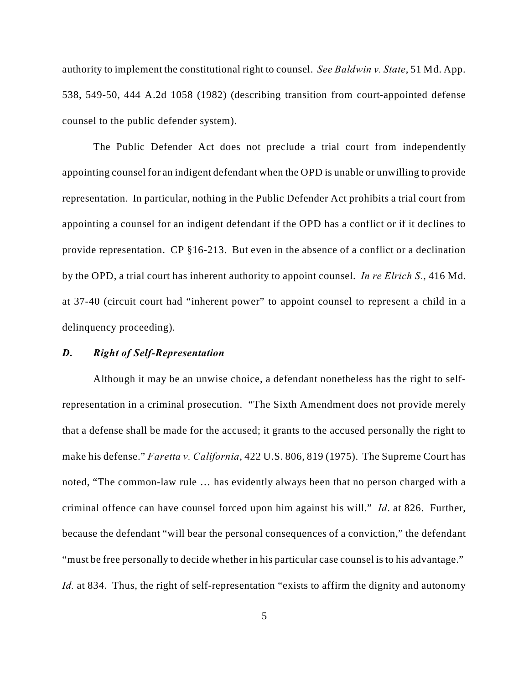authority to implement the constitutional right to counsel. *See Baldwin v. State*, 51 Md. App. 538, 549-50, 444 A.2d 1058 (1982) (describing transition from court-appointed defense counsel to the public defender system).

The Public Defender Act does not preclude a trial court from independently appointing counsel for an indigent defendant when the OPD is unable or unwilling to provide representation. In particular, nothing in the Public Defender Act prohibits a trial court from appointing a counsel for an indigent defendant if the OPD has a conflict or if it declines to provide representation. CP §16-213. But even in the absence of a conflict or a declination by the OPD, a trial court has inherent authority to appoint counsel. *In re Elrich S.*, 416 Md. at 37-40 (circuit court had "inherent power" to appoint counsel to represent a child in a delinquency proceeding).

### *D. Right of Self-Representation*

Although it may be an unwise choice, a defendant nonetheless has the right to selfrepresentation in a criminal prosecution. "The Sixth Amendment does not provide merely that a defense shall be made for the accused; it grants to the accused personally the right to make his defense." *Faretta v. California*, 422 U.S. 806, 819 (1975). The Supreme Court has noted, "The common-law rule … has evidently always been that no person charged with a criminal offence can have counsel forced upon him against his will." *Id*. at 826. Further, because the defendant "will bear the personal consequences of a conviction," the defendant "must be free personally to decide whether in his particular case counsel is to his advantage." *Id.* at 834. Thus, the right of self-representation "exists to affirm the dignity and autonomy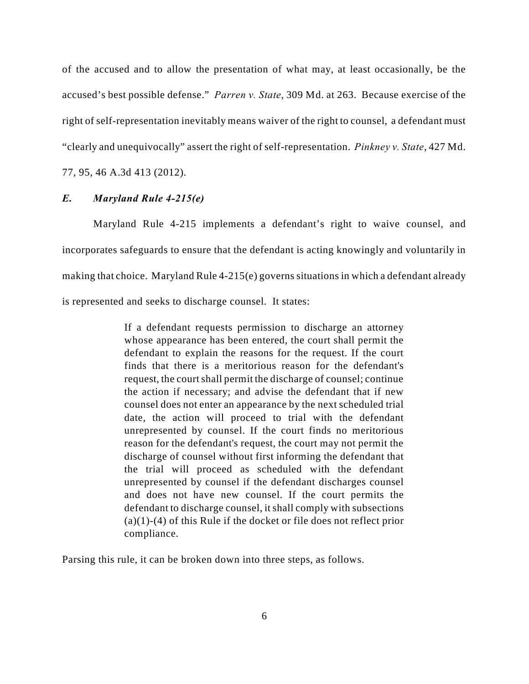of the accused and to allow the presentation of what may, at least occasionally, be the accused's best possible defense." *Parren v. State*, 309 Md. at 263. Because exercise of the right of self-representation inevitably means waiver of the right to counsel, a defendant must "clearly and unequivocally" assert the right of self-representation. *Pinkney v. State*, 427 Md. 77, 95, 46 A.3d 413 (2012).

#### *E. Maryland Rule 4-215(e)*

Maryland Rule 4-215 implements a defendant's right to waive counsel, and incorporates safeguards to ensure that the defendant is acting knowingly and voluntarily in making that choice. Maryland Rule 4-215(e) governs situations in which a defendant already is represented and seeks to discharge counsel. It states:

> If a defendant requests permission to discharge an attorney whose appearance has been entered, the court shall permit the defendant to explain the reasons for the request. If the court finds that there is a meritorious reason for the defendant's request, the court shall permit the discharge of counsel; continue the action if necessary; and advise the defendant that if new counsel does not enter an appearance by the next scheduled trial date, the action will proceed to trial with the defendant unrepresented by counsel. If the court finds no meritorious reason for the defendant's request, the court may not permit the discharge of counsel without first informing the defendant that the trial will proceed as scheduled with the defendant unrepresented by counsel if the defendant discharges counsel and does not have new counsel. If the court permits the defendant to discharge counsel, it shall comply with subsections  $(a)(1)-(4)$  of this Rule if the docket or file does not reflect prior compliance.

Parsing this rule, it can be broken down into three steps, as follows.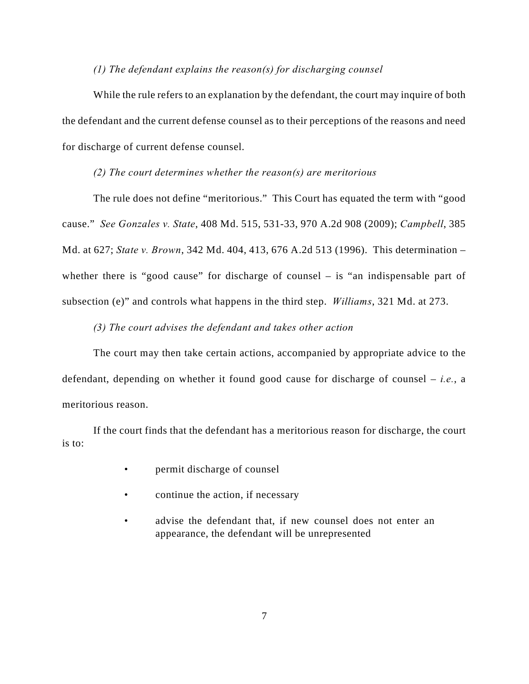### *(1) The defendant explains the reason(s) for discharging counsel*

While the rule refers to an explanation by the defendant, the court may inquire of both the defendant and the current defense counsel as to their perceptions of the reasons and need for discharge of current defense counsel.

#### *(2) The court determines whether the reason(s) are meritorious*

The rule does not define "meritorious." This Court has equated the term with "good cause." *See Gonzales v. State*, 408 Md. 515, 531-33, 970 A.2d 908 (2009); *Campbell*, 385 Md. at 627; *State v. Brown*, 342 Md. 404, 413, 676 A.2d 513 (1996). This determination – whether there is "good cause" for discharge of counsel – is "an indispensable part of subsection (e)" and controls what happens in the third step. *Williams*, 321 Md. at 273.

### *(3) The court advises the defendant and takes other action*

The court may then take certain actions, accompanied by appropriate advice to the defendant, depending on whether it found good cause for discharge of counsel – *i.e.*, a meritorious reason.

If the court finds that the defendant has a meritorious reason for discharge, the court is to:

- permit discharge of counsel
- continue the action, if necessary
- advise the defendant that, if new counsel does not enter an appearance, the defendant will be unrepresented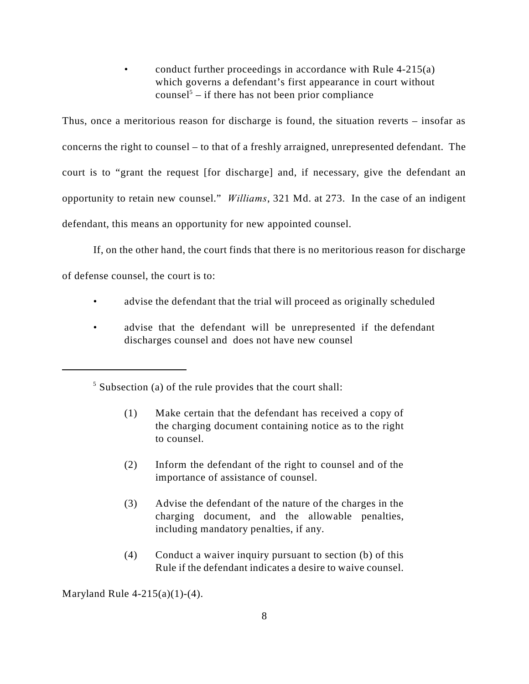• conduct further proceedings in accordance with Rule 4-215(a) which governs a defendant's first appearance in court without counsel<sup>5</sup> – if there has not been prior compliance

Thus, once a meritorious reason for discharge is found, the situation reverts – insofar as concerns the right to counsel – to that of a freshly arraigned, unrepresented defendant. The court is to "grant the request [for discharge] and, if necessary, give the defendant an opportunity to retain new counsel." *Williams*, 321 Md. at 273. In the case of an indigent defendant, this means an opportunity for new appointed counsel.

If, on the other hand, the court finds that there is no meritorious reason for discharge

of defense counsel, the court is to:

- advise the defendant that the trial will proceed as originally scheduled
- advise that the defendant will be unrepresented if the defendant discharges counsel and does not have new counsel

 $\frac{1}{5}$  Subsection (a) of the rule provides that the court shall:

- (1) Make certain that the defendant has received a copy of the charging document containing notice as to the right to counsel.
- (2) Inform the defendant of the right to counsel and of the importance of assistance of counsel.
- (3) Advise the defendant of the nature of the charges in the charging document, and the allowable penalties, including mandatory penalties, if any.
- (4) Conduct a waiver inquiry pursuant to section (b) of this Rule if the defendant indicates a desire to waive counsel.

Maryland Rule  $4-215(a)(1)-(4)$ .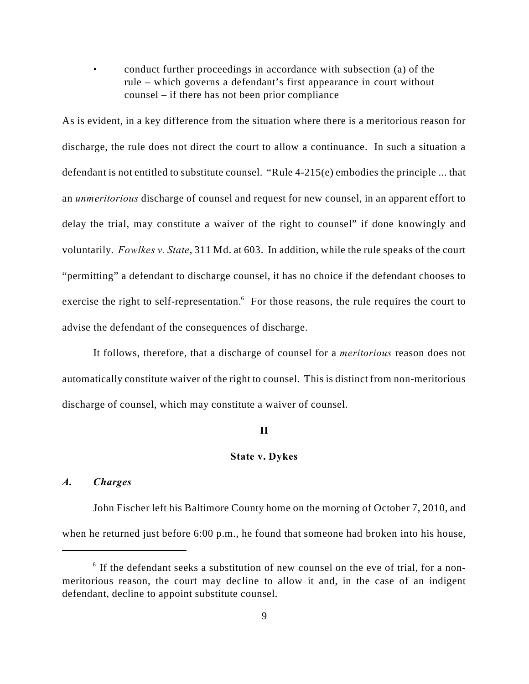• conduct further proceedings in accordance with subsection (a) of the rule – which governs a defendant's first appearance in court without counsel – if there has not been prior compliance

As is evident, in a key difference from the situation where there is a meritorious reason for discharge, the rule does not direct the court to allow a continuance. In such a situation a defendant is not entitled to substitute counsel. "Rule 4-215(e) embodies the principle ... that an *unmeritorious* discharge of counsel and request for new counsel, in an apparent effort to delay the trial, may constitute a waiver of the right to counsel" if done knowingly and voluntarily. *Fowlkes v. State*, 311 Md. at 603. In addition, while the rule speaks of the court "permitting" a defendant to discharge counsel, it has no choice if the defendant chooses to exercise the right to self-representation.<sup>6</sup> For those reasons, the rule requires the court to advise the defendant of the consequences of discharge.

It follows, therefore, that a discharge of counsel for a *meritorious* reason does not automatically constitute waiver of the right to counsel. This is distinct from non-meritorious discharge of counsel, which may constitute a waiver of counsel.

#### **II**

### **State v. Dykes**

## *A. Charges*

John Fischer left his Baltimore County home on the morning of October 7, 2010, and when he returned just before 6:00 p.m., he found that someone had broken into his house,

 $<sup>6</sup>$  If the defendant seeks a substitution of new counsel on the eve of trial, for a non-</sup> meritorious reason, the court may decline to allow it and, in the case of an indigent defendant, decline to appoint substitute counsel.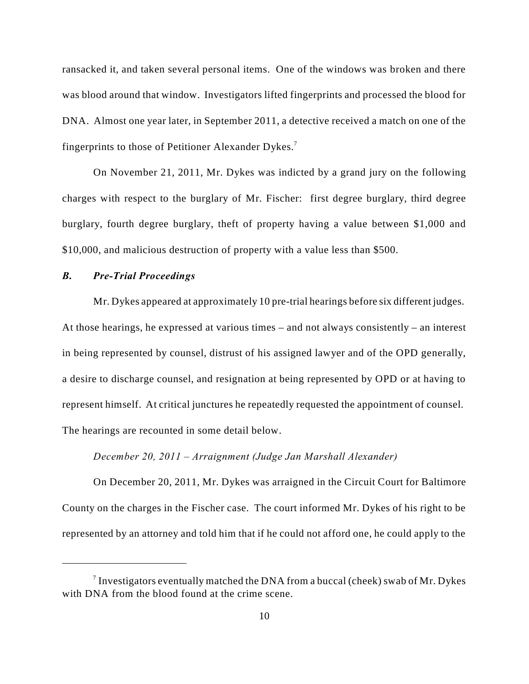ransacked it, and taken several personal items. One of the windows was broken and there was blood around that window. Investigators lifted fingerprints and processed the blood for DNA. Almost one year later, in September 2011, a detective received a match on one of the fingerprints to those of Petitioner Alexander Dykes. <sup>7</sup>

On November 21, 2011, Mr. Dykes was indicted by a grand jury on the following charges with respect to the burglary of Mr. Fischer: first degree burglary, third degree burglary, fourth degree burglary, theft of property having a value between \$1,000 and \$10,000, and malicious destruction of property with a value less than \$500.

## *B. Pre-Trial Proceedings*

Mr. Dykes appeared at approximately 10 pre-trial hearings before six different judges. At those hearings, he expressed at various times – and not always consistently – an interest in being represented by counsel, distrust of his assigned lawyer and of the OPD generally, a desire to discharge counsel, and resignation at being represented by OPD or at having to represent himself. At critical junctures he repeatedly requested the appointment of counsel. The hearings are recounted in some detail below.

### *December 20, 2011 – Arraignment (Judge Jan Marshall Alexander)*

On December 20, 2011, Mr. Dykes was arraigned in the Circuit Court for Baltimore County on the charges in the Fischer case. The court informed Mr. Dykes of his right to be represented by an attorney and told him that if he could not afford one, he could apply to the

 $\frac{1}{1}$  Investigators eventually matched the DNA from a buccal (cheek) swab of Mr. Dykes with DNA from the blood found at the crime scene.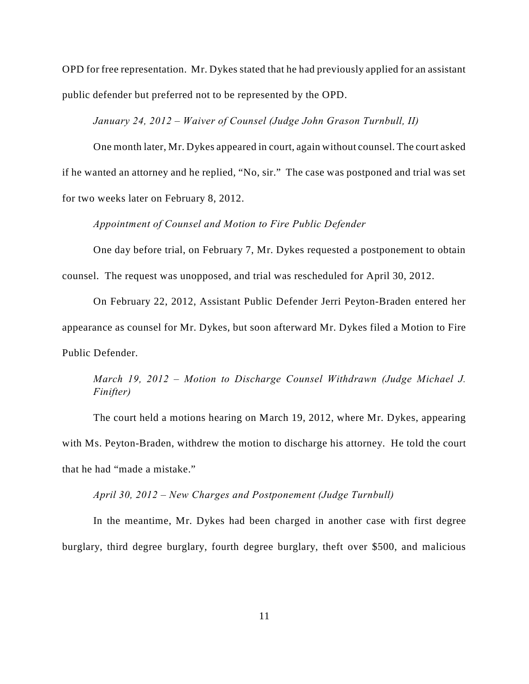OPD for free representation. Mr. Dykes stated that he had previously applied for an assistant public defender but preferred not to be represented by the OPD.

#### *January 24, 2012 – Waiver of Counsel (Judge John Grason Turnbull, II)*

One month later, Mr. Dykes appeared in court, again without counsel. The court asked if he wanted an attorney and he replied, "No, sir." The case was postponed and trial was set for two weeks later on February 8, 2012.

*Appointment of Counsel and Motion to Fire Public Defender*

One day before trial, on February 7, Mr. Dykes requested a postponement to obtain counsel. The request was unopposed, and trial was rescheduled for April 30, 2012.

On February 22, 2012, Assistant Public Defender Jerri Peyton-Braden entered her appearance as counsel for Mr. Dykes, but soon afterward Mr. Dykes filed a Motion to Fire Public Defender.

*March 19, 2012 – Motion to Discharge Counsel Withdrawn (Judge Michael J. Finifter)*

The court held a motions hearing on March 19, 2012, where Mr. Dykes, appearing with Ms. Peyton-Braden, withdrew the motion to discharge his attorney. He told the court that he had "made a mistake."

*April 30, 2012 – New Charges and Postponement (Judge Turnbull)*

In the meantime, Mr. Dykes had been charged in another case with first degree burglary, third degree burglary, fourth degree burglary, theft over \$500, and malicious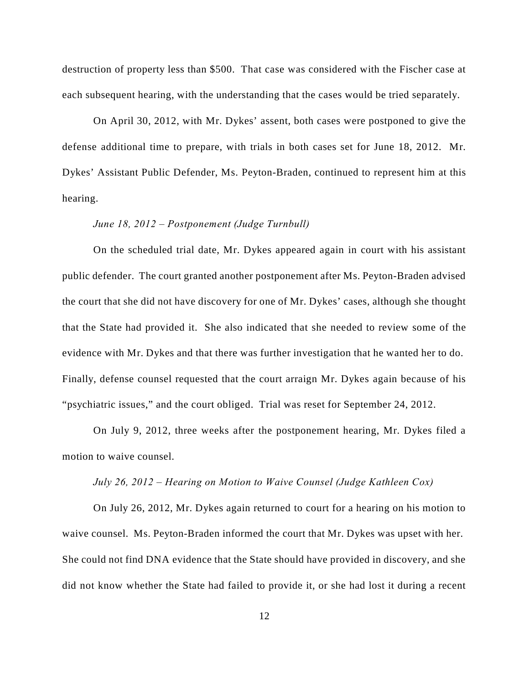destruction of property less than \$500. That case was considered with the Fischer case at each subsequent hearing, with the understanding that the cases would be tried separately.

On April 30, 2012, with Mr. Dykes' assent, both cases were postponed to give the defense additional time to prepare, with trials in both cases set for June 18, 2012. Mr. Dykes' Assistant Public Defender, Ms. Peyton-Braden, continued to represent him at this hearing.

### *June 18, 2012 – Postponement (Judge Turnbull)*

On the scheduled trial date, Mr. Dykes appeared again in court with his assistant public defender. The court granted another postponement after Ms. Peyton-Braden advised the court that she did not have discovery for one of Mr. Dykes' cases, although she thought that the State had provided it. She also indicated that she needed to review some of the evidence with Mr. Dykes and that there was further investigation that he wanted her to do. Finally, defense counsel requested that the court arraign Mr. Dykes again because of his "psychiatric issues," and the court obliged. Trial was reset for September 24, 2012.

On July 9, 2012, three weeks after the postponement hearing, Mr. Dykes filed a motion to waive counsel.

### *July 26, 2012 – Hearing on Motion to Waive Counsel (Judge Kathleen Cox)*

On July 26, 2012, Mr. Dykes again returned to court for a hearing on his motion to waive counsel. Ms. Peyton-Braden informed the court that Mr. Dykes was upset with her. She could not find DNA evidence that the State should have provided in discovery, and she did not know whether the State had failed to provide it, or she had lost it during a recent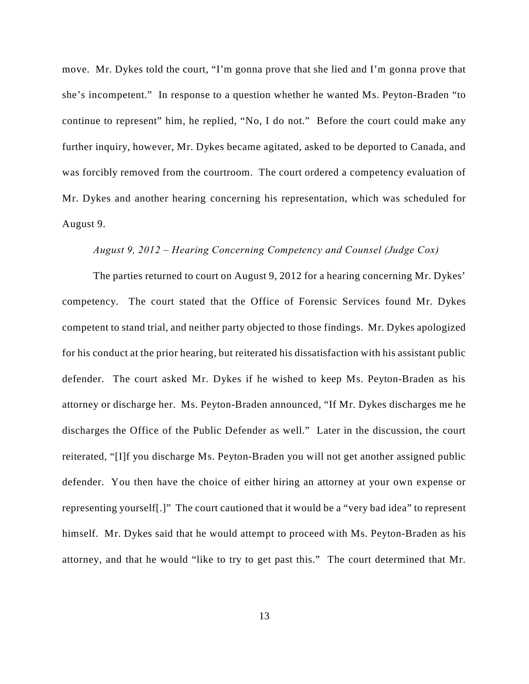move. Mr. Dykes told the court, "I'm gonna prove that she lied and I'm gonna prove that she's incompetent." In response to a question whether he wanted Ms. Peyton-Braden "to continue to represent" him, he replied, "No, I do not." Before the court could make any further inquiry, however, Mr. Dykes became agitated, asked to be deported to Canada, and was forcibly removed from the courtroom. The court ordered a competency evaluation of Mr. Dykes and another hearing concerning his representation, which was scheduled for August 9.

### *August 9, 2012 – Hearing Concerning Competency and Counsel (Judge Cox)*

The parties returned to court on August 9, 2012 for a hearing concerning Mr. Dykes' competency. The court stated that the Office of Forensic Services found Mr. Dykes competent to stand trial, and neither party objected to those findings. Mr. Dykes apologized for his conduct at the prior hearing, but reiterated his dissatisfaction with his assistant public defender. The court asked Mr. Dykes if he wished to keep Ms. Peyton-Braden as his attorney or discharge her. Ms. Peyton-Braden announced, "If Mr. Dykes discharges me he discharges the Office of the Public Defender as well." Later in the discussion, the court reiterated, "[I]f you discharge Ms. Peyton-Braden you will not get another assigned public defender. You then have the choice of either hiring an attorney at your own expense or representing yourself[.]" The court cautioned that it would be a "very bad idea" to represent himself. Mr. Dykes said that he would attempt to proceed with Ms. Peyton-Braden as his attorney, and that he would "like to try to get past this." The court determined that Mr.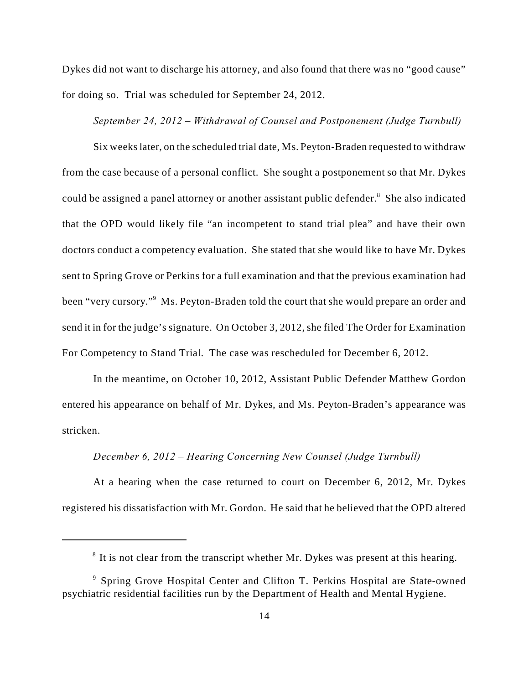Dykes did not want to discharge his attorney, and also found that there was no "good cause" for doing so. Trial was scheduled for September 24, 2012.

## *September 24, 2012 – Withdrawal of Counsel and Postponement (Judge Turnbull)*

Six weeks later, on the scheduled trial date, Ms. Peyton-Braden requested to withdraw from the case because of a personal conflict. She sought a postponement so that Mr. Dykes could be assigned a panel attorney or another assistant public defender.<sup>8</sup> She also indicated that the OPD would likely file "an incompetent to stand trial plea" and have their own doctors conduct a competency evaluation. She stated that she would like to have Mr. Dykes sent to Spring Grove or Perkins for a full examination and that the previous examination had been "very cursory." Ms. Peyton-Braden told the court that she would prepare an order and send it in for the judge's signature. On October 3, 2012, she filed The Order for Examination For Competency to Stand Trial. The case was rescheduled for December 6, 2012.

In the meantime, on October 10, 2012, Assistant Public Defender Matthew Gordon entered his appearance on behalf of Mr. Dykes, and Ms. Peyton-Braden's appearance was stricken.

# *December 6, 2012 – Hearing Concerning New Counsel (Judge Turnbull)*

At a hearing when the case returned to court on December 6, 2012, Mr. Dykes registered his dissatisfaction with Mr. Gordon. He said that he believed that the OPD altered

 $\delta$  It is not clear from the transcript whether Mr. Dykes was present at this hearing.

<sup>&</sup>lt;sup>9</sup> Spring Grove Hospital Center and Clifton T. Perkins Hospital are State-owned psychiatric residential facilities run by the Department of Health and Mental Hygiene.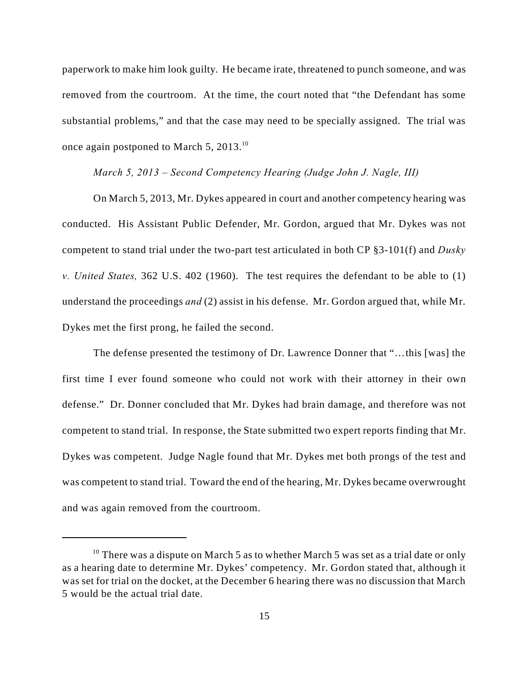paperwork to make him look guilty. He became irate, threatened to punch someone, and was removed from the courtroom. At the time, the court noted that "the Defendant has some substantial problems," and that the case may need to be specially assigned. The trial was once again postponed to March 5, 2013.<sup>10</sup>

### *March 5, 2013 – Second Competency Hearing (Judge John J. Nagle, III)*

On March 5, 2013, Mr. Dykes appeared in court and another competency hearing was conducted. His Assistant Public Defender, Mr. Gordon, argued that Mr. Dykes was not competent to stand trial under the two-part test articulated in both CP §3-101(f) and *Dusky v. United States,* 362 U.S. 402 (1960). The test requires the defendant to be able to (1) understand the proceedings *and* (2) assist in his defense. Mr. Gordon argued that, while Mr. Dykes met the first prong, he failed the second.

The defense presented the testimony of Dr. Lawrence Donner that "…this [was] the first time I ever found someone who could not work with their attorney in their own defense." Dr. Donner concluded that Mr. Dykes had brain damage, and therefore was not competent to stand trial. In response, the State submitted two expert reports finding that Mr. Dykes was competent. Judge Nagle found that Mr. Dykes met both prongs of the test and was competent to stand trial. Toward the end of the hearing, Mr. Dykes became overwrought and was again removed from the courtroom.

 $10$  There was a dispute on March 5 as to whether March 5 was set as a trial date or only as a hearing date to determine Mr. Dykes' competency. Mr. Gordon stated that, although it was set for trial on the docket, at the December 6 hearing there was no discussion that March 5 would be the actual trial date.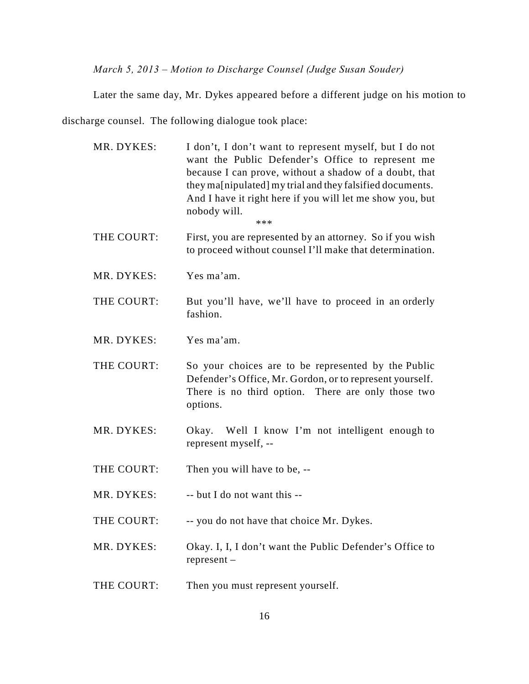*March 5, 2013 – Motion to Discharge Counsel (Judge Susan Souder)*

Later the same day, Mr. Dykes appeared before a different judge on his motion to

discharge counsel. The following dialogue took place:

| MR. DYKES: | I don't, I don't want to represent myself, but I do not<br>want the Public Defender's Office to represent me<br>because I can prove, without a shadow of a doubt, that<br>they ma[nipulated] my trial and they falsified documents.<br>And I have it right here if you will let me show you, but<br>nobody will.<br>*** |
|------------|-------------------------------------------------------------------------------------------------------------------------------------------------------------------------------------------------------------------------------------------------------------------------------------------------------------------------|
| THE COURT: | First, you are represented by an attorney. So if you wish<br>to proceed without counsel I'll make that determination.                                                                                                                                                                                                   |
| MR. DYKES: | Yes ma'am.                                                                                                                                                                                                                                                                                                              |
| THE COURT: | But you'll have, we'll have to proceed in an orderly<br>fashion.                                                                                                                                                                                                                                                        |
| MR. DYKES: | Yes ma'am.                                                                                                                                                                                                                                                                                                              |
| THE COURT: | So your choices are to be represented by the Public<br>Defender's Office, Mr. Gordon, or to represent yourself.<br>There is no third option. There are only those two<br>options.                                                                                                                                       |
| MR. DYKES: | Well I know I'm not intelligent enough to<br>Okay.<br>represent myself, --                                                                                                                                                                                                                                              |
| THE COURT: | Then you will have to be, --                                                                                                                                                                                                                                                                                            |
| MR. DYKES: | -- but I do not want this --                                                                                                                                                                                                                                                                                            |
| THE COURT: | -- you do not have that choice Mr. Dykes.                                                                                                                                                                                                                                                                               |
| MR. DYKES: | Okay. I, I, I don't want the Public Defender's Office to<br>$represent -$                                                                                                                                                                                                                                               |
| THE COURT: | Then you must represent yourself.                                                                                                                                                                                                                                                                                       |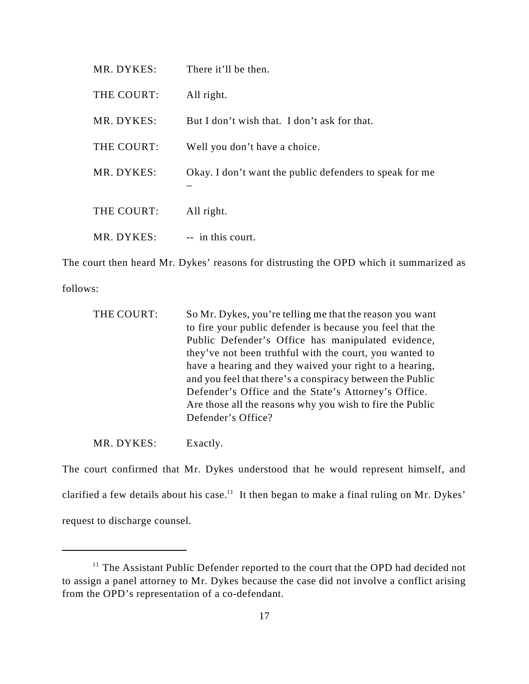| MR. DYKES: | There it'll be then.                                    |
|------------|---------------------------------------------------------|
| THE COURT: | All right.                                              |
| MR. DYKES: | But I don't wish that. I don't ask for that.            |
| THE COURT: | Well you don't have a choice.                           |
| MR. DYKES: | Okay. I don't want the public defenders to speak for me |
| THE COURT: | All right.                                              |
| MR. DYKES: | $-$ in this court.                                      |

The court then heard Mr. Dykes' reasons for distrusting the OPD which it summarized as

follows:

| THE COURT: | So Mr. Dykes, you're telling me that the reason you want  |
|------------|-----------------------------------------------------------|
|            | to fire your public defender is because you feel that the |
|            | Public Defender's Office has manipulated evidence,        |
|            | they've not been truthful with the court, you wanted to   |
|            | have a hearing and they waived your right to a hearing,   |
|            | and you feel that there's a conspiracy between the Public |
|            | Defender's Office and the State's Attorney's Office.      |
|            | Are those all the reasons why you wish to fire the Public |
|            | Defender's Office?                                        |
|            |                                                           |

MR. DYKES: Exactly.

The court confirmed that Mr. Dykes understood that he would represent himself, and clarified a few details about his case.<sup>11</sup> It then began to make a final ruling on Mr. Dykes' request to discharge counsel.

 $11$  The Assistant Public Defender reported to the court that the OPD had decided not to assign a panel attorney to Mr. Dykes because the case did not involve a conflict arising from the OPD's representation of a co-defendant.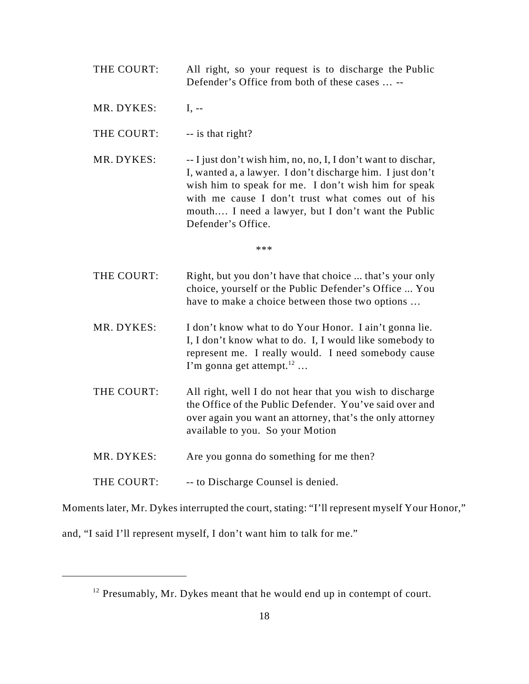- THE COURT: All right, so your request is to discharge the Public Defender's Office from both of these cases … --
- MR. DYKES: I, --
- THE COURT: -- is that right?
- MR. DYKES: --I just don't wish him, no, no, I, I don't want to dischar, I, wanted a, a lawyer. I don't discharge him. I just don't wish him to speak for me. I don't wish him for speak with me cause I don't trust what comes out of his mouth.… I need a lawyer, but I don't want the Public Defender's Office.

\*\*\*

- THE COURT: Right, but you don't have that choice ... that's your only choice, yourself or the Public Defender's Office ... You have to make a choice between those two options …
- MR. DYKES: I don't know what to do Your Honor. I ain't gonna lie. I, I don't know what to do. I, I would like somebody to represent me. I really would. I need somebody cause I'm gonna get attempt.<sup>12</sup> ...
- THE COURT: All right, well I do not hear that you wish to discharge the Office of the Public Defender. You've said over and over again you want an attorney, that's the only attorney available to you. So your Motion
- MR. DYKES: Are you gonna do something for me then?
- THE COURT: -- to Discharge Counsel is denied.

Moments later, Mr. Dykes interrupted the court, stating: "I'll represent myself Your Honor,"

and, "I said I'll represent myself, I don't want him to talk for me."

 $12$  Presumably, Mr. Dykes meant that he would end up in contempt of court.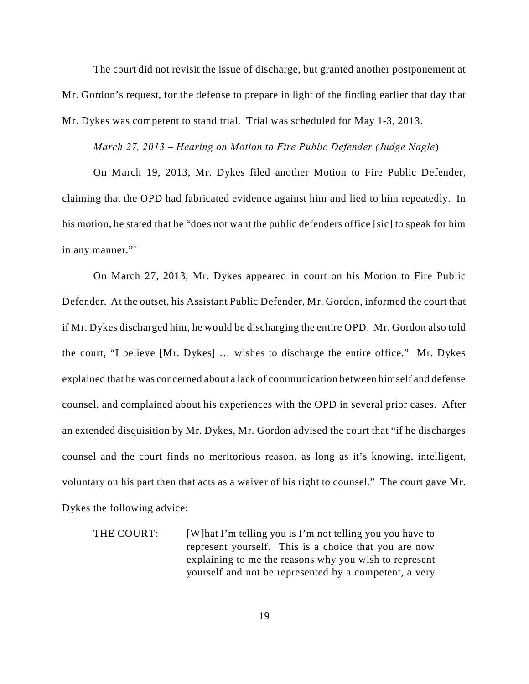The court did not revisit the issue of discharge, but granted another postponement at Mr. Gordon's request, for the defense to prepare in light of the finding earlier that day that Mr. Dykes was competent to stand trial. Trial was scheduled for May 1-3, 2013.

*March 27, 2013 – Hearing on Motion to Fire Public Defender (Judge Nagle*)

On March 19, 2013, Mr. Dykes filed another Motion to Fire Public Defender, claiming that the OPD had fabricated evidence against him and lied to him repeatedly. In his motion, he stated that he "does not want the public defenders office [sic] to speak for him in any manner."`

On March 27, 2013, Mr. Dykes appeared in court on his Motion to Fire Public Defender. At the outset, his Assistant Public Defender, Mr. Gordon, informed the court that if Mr. Dykes discharged him, he would be discharging the entire OPD. Mr. Gordon also told the court, "I believe [Mr. Dykes] … wishes to discharge the entire office." Mr. Dykes explained that he was concerned about a lack of communication between himself and defense counsel, and complained about his experiences with the OPD in several prior cases. After an extended disquisition by Mr. Dykes, Mr. Gordon advised the court that "if he discharges counsel and the court finds no meritorious reason, as long as it's knowing, intelligent, voluntary on his part then that acts as a waiver of his right to counsel." The court gave Mr. Dykes the following advice:

THE COURT: What I'm telling you is I'm not telling you you have to represent yourself. This is a choice that you are now explaining to me the reasons why you wish to represent yourself and not be represented by a competent, a very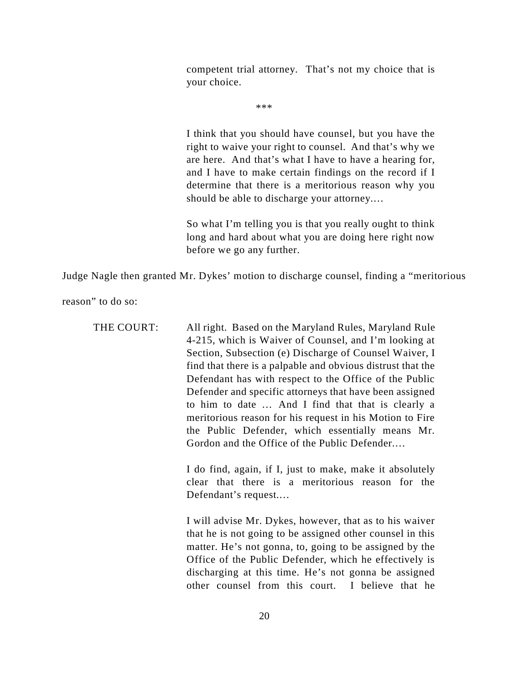competent trial attorney. That's not my choice that is your choice.

\*\*\*

I think that you should have counsel, but you have the right to waive your right to counsel. And that's why we are here. And that's what I have to have a hearing for, and I have to make certain findings on the record if I determine that there is a meritorious reason why you should be able to discharge your attorney.…

So what I'm telling you is that you really ought to think long and hard about what you are doing here right now before we go any further.

Judge Nagle then granted Mr. Dykes' motion to discharge counsel, finding a "meritorious

reason" to do so:

THE COURT: All right. Based on the Maryland Rules, Maryland Rule 4-215, which is Waiver of Counsel, and I'm looking at Section, Subsection (e) Discharge of Counsel Waiver, I find that there is a palpable and obvious distrust that the Defendant has with respect to the Office of the Public Defender and specific attorneys that have been assigned to him to date … And I find that that is clearly a meritorious reason for his request in his Motion to Fire the Public Defender, which essentially means Mr. Gordon and the Office of the Public Defender.…

> I do find, again, if I, just to make, make it absolutely clear that there is a meritorious reason for the Defendant's request.…

> I will advise Mr. Dykes, however, that as to his waiver that he is not going to be assigned other counsel in this matter. He's not gonna, to, going to be assigned by the Office of the Public Defender, which he effectively is discharging at this time. He's not gonna be assigned other counsel from this court. I believe that he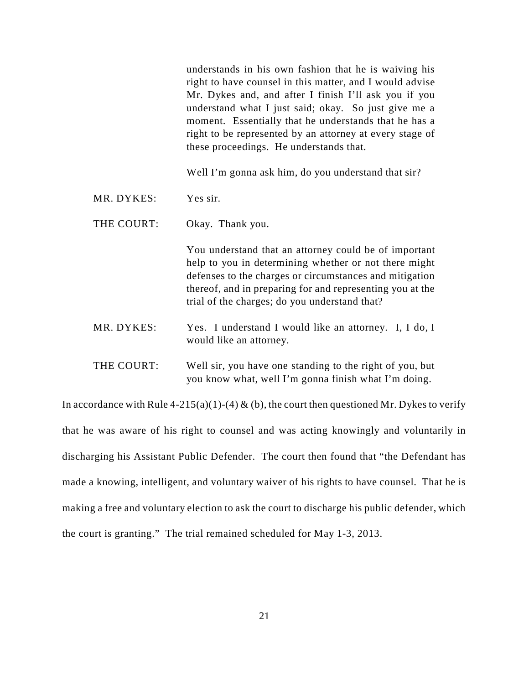understands in his own fashion that he is waiving his right to have counsel in this matter, and I would advise Mr. Dykes and, and after I finish I'll ask you if you understand what I just said; okay. So just give me a moment. Essentially that he understands that he has a right to be represented by an attorney at every stage of these proceedings. He understands that.

Well I'm gonna ask him, do you understand that sir?

- MR. DYKES: Yes sir.
- THE COURT: Okay. Thank you.

You understand that an attorney could be of important help to you in determining whether or not there might defenses to the charges or circumstances and mitigation thereof, and in preparing for and representing you at the trial of the charges; do you understand that?

MR. DYKES: Yes. I understand I would like an attorney. I, I do, I would like an attorney.

THE COURT: Well sir, you have one standing to the right of you, but you know what, well I'm gonna finish what I'm doing.

In accordance with Rule 4-215(a)(1)-(4) & (b), the court then questioned Mr. Dykes to verify that he was aware of his right to counsel and was acting knowingly and voluntarily in discharging his Assistant Public Defender. The court then found that "the Defendant has made a knowing, intelligent, and voluntary waiver of his rights to have counsel. That he is making a free and voluntary election to ask the court to discharge his public defender, which the court is granting." The trial remained scheduled for May 1-3, 2013.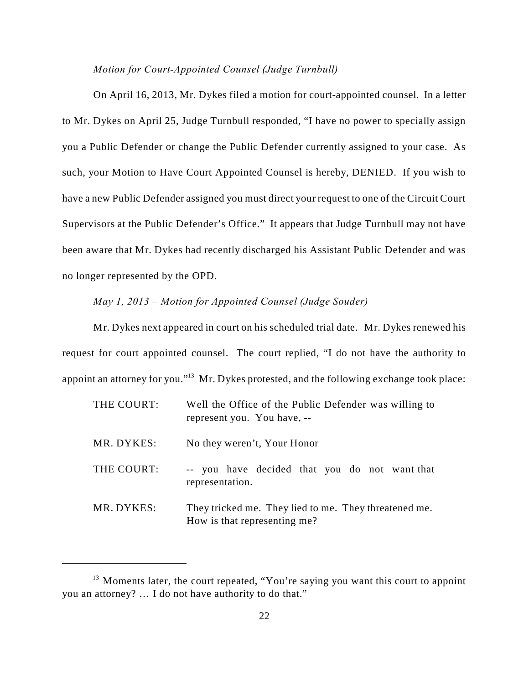#### *Motion for Court-Appointed Counsel (Judge Turnbull)*

On April 16, 2013, Mr. Dykes filed a motion for court-appointed counsel. In a letter to Mr. Dykes on April 25, Judge Turnbull responded, "I have no power to specially assign you a Public Defender or change the Public Defender currently assigned to your case. As such, your Motion to Have Court Appointed Counsel is hereby, DENIED. If you wish to have a new Public Defender assigned you must direct your request to one of the Circuit Court Supervisors at the Public Defender's Office." It appears that Judge Turnbull may not have been aware that Mr. Dykes had recently discharged his Assistant Public Defender and was no longer represented by the OPD.

## *May 1, 2013 – Motion for Appointed Counsel (Judge Souder)*

Mr. Dykes next appeared in court on his scheduled trial date. Mr. Dykes renewed his request for court appointed counsel. The court replied, "I do not have the authority to appoint an attorney for you."<sup>13</sup> Mr. Dykes protested, and the following exchange took place:

| THE COURT: | Well the Office of the Public Defender was willing to<br>represent you. You have, --  |
|------------|---------------------------------------------------------------------------------------|
| MR. DYKES: | No they weren't, Your Honor                                                           |
| THE COURT: | -- you have decided that you do not want that<br>representation.                      |
| MR. DYKES: | They tricked me. They lied to me. They threatened me.<br>How is that representing me? |

 $13$  Moments later, the court repeated, "You're saying you want this court to appoint you an attorney? … I do not have authority to do that."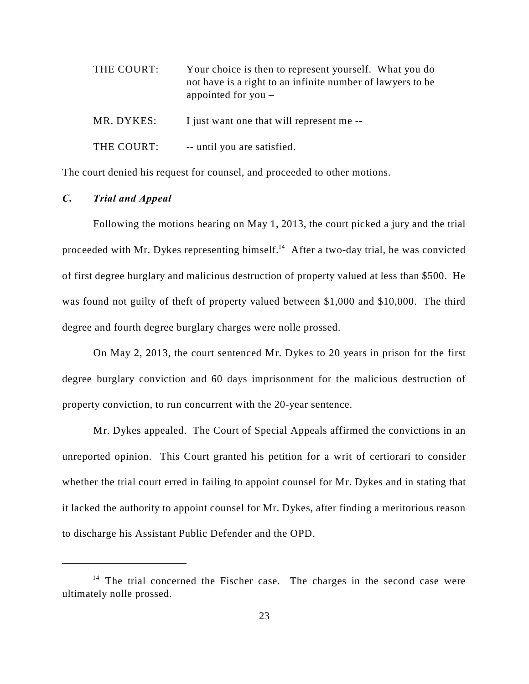| THE COURT: | Your choice is then to represent yourself. What you do<br>not have is a right to an infinite number of lawyers to be<br>appointed for you $-$ |
|------------|-----------------------------------------------------------------------------------------------------------------------------------------------|
| MR. DYKES: | I just want one that will represent me --                                                                                                     |
| THE COURT: | -- until you are satisfied.                                                                                                                   |

The court denied his request for counsel, and proceeded to other motions.

### *C. Trial and Appeal*

Following the motions hearing on May 1, 2013, the court picked a jury and the trial proceeded with Mr. Dykes representing himself. $<sup>14</sup>$  After a two-day trial, he was convicted</sup> of first degree burglary and malicious destruction of property valued at less than \$500. He was found not guilty of theft of property valued between \$1,000 and \$10,000. The third degree and fourth degree burglary charges were nolle prossed.

On May 2, 2013, the court sentenced Mr. Dykes to 20 years in prison for the first degree burglary conviction and 60 days imprisonment for the malicious destruction of property conviction, to run concurrent with the 20-year sentence.

Mr. Dykes appealed. The Court of Special Appeals affirmed the convictions in an unreported opinion. This Court granted his petition for a writ of certiorari to consider whether the trial court erred in failing to appoint counsel for Mr. Dykes and in stating that it lacked the authority to appoint counsel for Mr. Dykes, after finding a meritorious reason to discharge his Assistant Public Defender and the OPD.

 $14$  The trial concerned the Fischer case. The charges in the second case were ultimately nolle prossed.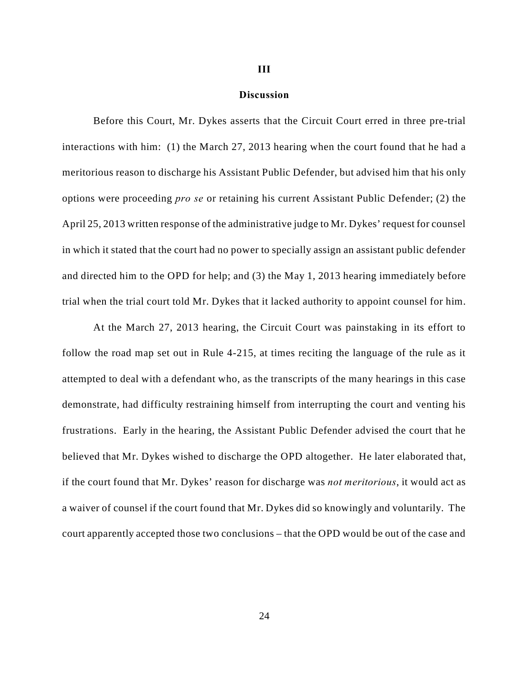#### **Discussion**

**III**

Before this Court, Mr. Dykes asserts that the Circuit Court erred in three pre-trial interactions with him: (1) the March 27, 2013 hearing when the court found that he had a meritorious reason to discharge his Assistant Public Defender, but advised him that his only options were proceeding *pro se* or retaining his current Assistant Public Defender; (2) the April 25, 2013 written response of the administrative judge to Mr. Dykes' request for counsel in which it stated that the court had no power to specially assign an assistant public defender and directed him to the OPD for help; and (3) the May 1, 2013 hearing immediately before trial when the trial court told Mr. Dykes that it lacked authority to appoint counsel for him.

At the March 27, 2013 hearing, the Circuit Court was painstaking in its effort to follow the road map set out in Rule 4-215, at times reciting the language of the rule as it attempted to deal with a defendant who, as the transcripts of the many hearings in this case demonstrate, had difficulty restraining himself from interrupting the court and venting his frustrations. Early in the hearing, the Assistant Public Defender advised the court that he believed that Mr. Dykes wished to discharge the OPD altogether. He later elaborated that, if the court found that Mr. Dykes' reason for discharge was *not meritorious*, it would act as a waiver of counsel if the court found that Mr. Dykes did so knowingly and voluntarily. The court apparently accepted those two conclusions – that the OPD would be out of the case and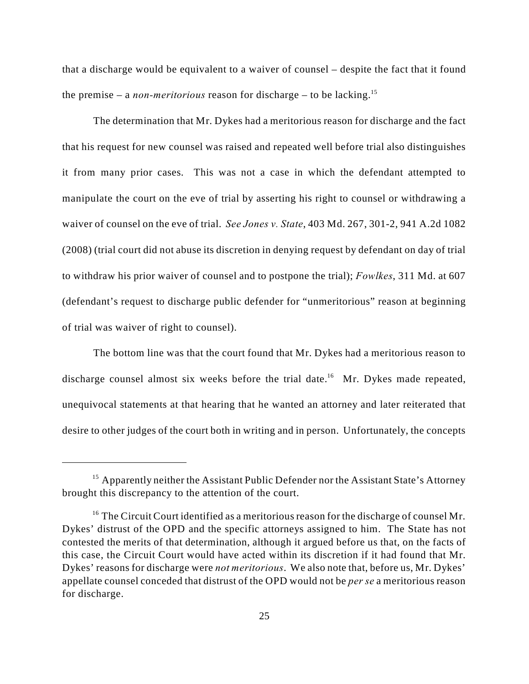that a discharge would be equivalent to a waiver of counsel – despite the fact that it found the premise – a *non-meritorious* reason for discharge – to be lacking.<sup>15</sup>

The determination that Mr. Dykes had a meritorious reason for discharge and the fact that his request for new counsel was raised and repeated well before trial also distinguishes it from many prior cases. This was not a case in which the defendant attempted to manipulate the court on the eve of trial by asserting his right to counsel or withdrawing a waiver of counsel on the eve of trial. *See Jones v. State*, 403 Md. 267, 301-2, 941 A.2d 1082 (2008) (trial court did not abuse its discretion in denying request by defendant on day of trial to withdraw his prior waiver of counsel and to postpone the trial); *Fowlkes*, 311 Md. at 607 (defendant's request to discharge public defender for "unmeritorious" reason at beginning of trial was waiver of right to counsel).

The bottom line was that the court found that Mr. Dykes had a meritorious reason to discharge counsel almost six weeks before the trial date.<sup>16</sup> Mr. Dykes made repeated, unequivocal statements at that hearing that he wanted an attorney and later reiterated that desire to other judges of the court both in writing and in person. Unfortunately, the concepts

 $15$  Apparently neither the Assistant Public Defender nor the Assistant State's Attorney brought this discrepancy to the attention of the court.

<sup>&</sup>lt;sup>16</sup> The Circuit Court identified as a meritorious reason for the discharge of counsel Mr. Dykes' distrust of the OPD and the specific attorneys assigned to him. The State has not contested the merits of that determination, although it argued before us that, on the facts of this case, the Circuit Court would have acted within its discretion if it had found that Mr. Dykes' reasons for discharge were *not meritorious*. We also note that, before us, Mr. Dykes' appellate counsel conceded that distrust of the OPD would not be *per se* a meritorious reason for discharge.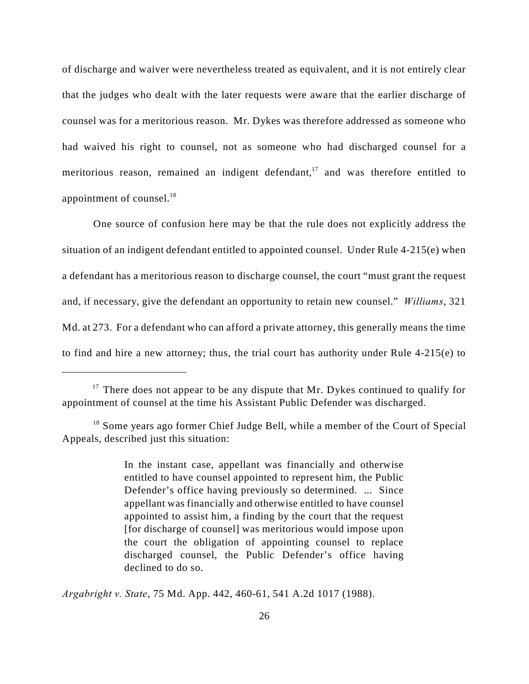of discharge and waiver were nevertheless treated as equivalent, and it is not entirely clear that the judges who dealt with the later requests were aware that the earlier discharge of counsel was for a meritorious reason. Mr. Dykes was therefore addressed as someone who had waived his right to counsel, not as someone who had discharged counsel for a meritorious reason, remained an indigent defendant, $17$  and was therefore entitled to appointment of counsel. $^{18}$ 

One source of confusion here may be that the rule does not explicitly address the situation of an indigent defendant entitled to appointed counsel. Under Rule 4-215(e) when a defendant has a meritorious reason to discharge counsel, the court "must grant the request and, if necessary, give the defendant an opportunity to retain new counsel." *Williams*, 321 Md. at 273. For a defendant who can afford a private attorney, this generally means the time to find and hire a new attorney; thus, the trial court has authority under Rule  $4-215(e)$  to

*Argabright v. State*, 75 Md. App. 442, 460-61, 541 A.2d 1017 (1988).

 $17$  There does not appear to be any dispute that Mr. Dykes continued to qualify for appointment of counsel at the time his Assistant Public Defender was discharged.

 $18$  Some years ago former Chief Judge Bell, while a member of the Court of Special Appeals, described just this situation:

In the instant case, appellant was financially and otherwise entitled to have counsel appointed to represent him, the Public Defender's office having previously so determined. ... Since appellant was financially and otherwise entitled to have counsel appointed to assist him, a finding by the court that the request [for discharge of counsel] was meritorious would impose upon the court the obligation of appointing counsel to replace discharged counsel, the Public Defender's office having declined to do so.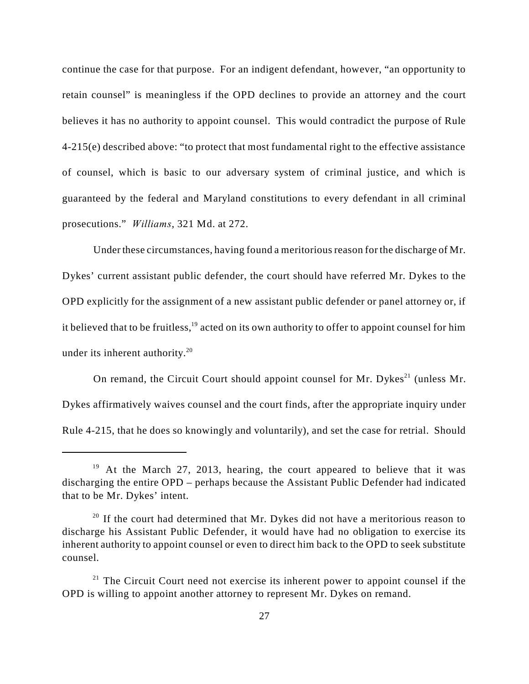continue the case for that purpose. For an indigent defendant, however, "an opportunity to retain counsel" is meaningless if the OPD declines to provide an attorney and the court believes it has no authority to appoint counsel. This would contradict the purpose of Rule 4-215(e) described above: "to protect that most fundamental right to the effective assistance of counsel, which is basic to our adversary system of criminal justice, and which is guaranteed by the federal and Maryland constitutions to every defendant in all criminal prosecutions." *Williams*, 321 Md. at 272.

Under these circumstances, having found a meritorious reason for the discharge of Mr. Dykes' current assistant public defender, the court should have referred Mr. Dykes to the OPD explicitly for the assignment of a new assistant public defender or panel attorney or, if it believed that to be fruitless, $<sup>19</sup>$  acted on its own authority to offer to appoint counsel for him</sup> under its inherent authority. $20$ 

On remand, the Circuit Court should appoint counsel for Mr. Dykes<sup>21</sup> (unless Mr. Dykes affirmatively waives counsel and the court finds, after the appropriate inquiry under Rule 4-215, that he does so knowingly and voluntarily), and set the case for retrial. Should

 $19$  At the March 27, 2013, hearing, the court appeared to believe that it was discharging the entire OPD – perhaps because the Assistant Public Defender had indicated that to be Mr. Dykes' intent.

 $20$  If the court had determined that Mr. Dykes did not have a meritorious reason to discharge his Assistant Public Defender, it would have had no obligation to exercise its inherent authority to appoint counsel or even to direct him back to the OPD to seek substitute counsel.

 $21$  The Circuit Court need not exercise its inherent power to appoint counsel if the OPD is willing to appoint another attorney to represent Mr. Dykes on remand.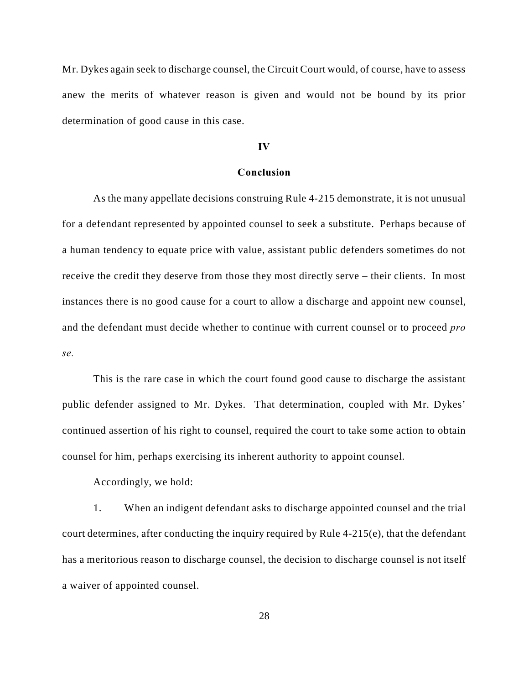Mr. Dykes again seek to discharge counsel, the Circuit Court would, of course, have to assess anew the merits of whatever reason is given and would not be bound by its prior determination of good cause in this case.

#### **IV**

## **Conclusion**

As the many appellate decisions construing Rule 4-215 demonstrate, it is not unusual for a defendant represented by appointed counsel to seek a substitute. Perhaps because of a human tendency to equate price with value, assistant public defenders sometimes do not receive the credit they deserve from those they most directly serve – their clients. In most instances there is no good cause for a court to allow a discharge and appoint new counsel, and the defendant must decide whether to continue with current counsel or to proceed *pro se.*

This is the rare case in which the court found good cause to discharge the assistant public defender assigned to Mr. Dykes. That determination, coupled with Mr. Dykes' continued assertion of his right to counsel, required the court to take some action to obtain counsel for him, perhaps exercising its inherent authority to appoint counsel.

Accordingly, we hold:

1. When an indigent defendant asks to discharge appointed counsel and the trial court determines, after conducting the inquiry required by Rule 4-215(e), that the defendant has a meritorious reason to discharge counsel, the decision to discharge counsel is not itself a waiver of appointed counsel.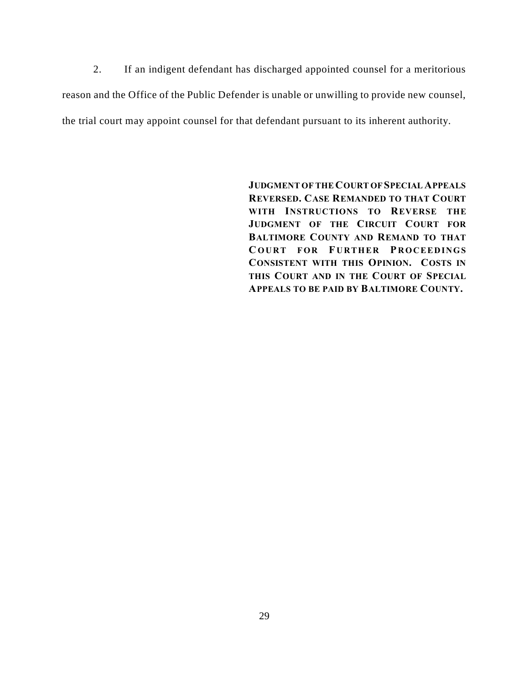2. If an indigent defendant has discharged appointed counsel for a meritorious

reason and the Office of the Public Defender is unable or unwilling to provide new counsel,

the trial court may appoint counsel for that defendant pursuant to its inherent authority.

**JUDGMENT OF THE COURT OF SPECIAL APPEALS REVERSED. CASE REMANDED TO THAT COURT WITH INSTRUCTIONS TO REVERSE THE JUDGMENT OF THE CIRCUIT COURT FOR BALTIMORE COUNTY AND REMAND TO THAT C O U R T F O R F U R TH E R P R O C E E D IN G S CONSISTENT WITH THIS OPINION. COSTS IN THIS COURT AND IN THE COURT OF SPECIAL APPEALS TO BE PAID BY BALTIMORE COUNTY.**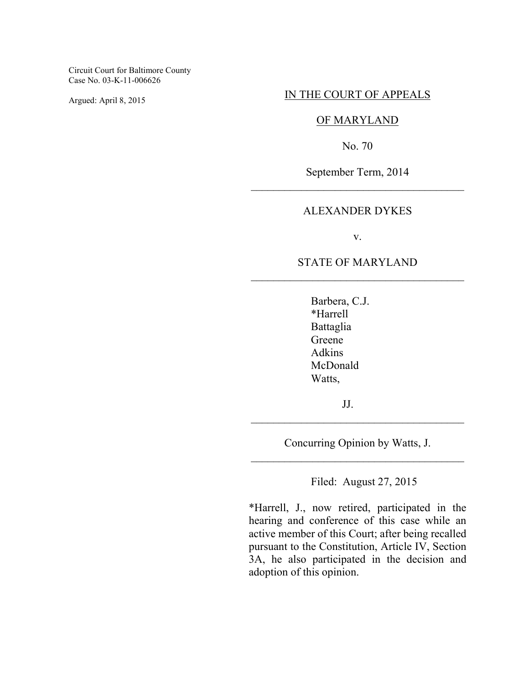Circuit Court for Baltimore County Case No. 03-K-11-006626

Argued: April 8, 2015

### IN THE COURT OF APPEALS

## OF MARYLAND

No. 70

September Term, 2014 \_\_\_\_\_\_\_\_\_\_\_\_\_\_\_\_\_\_\_\_\_\_\_\_\_\_\_\_\_\_\_\_\_\_\_\_\_\_

## ALEXANDER DYKES

v.

# STATE OF MARYLAND \_\_\_\_\_\_\_\_\_\_\_\_\_\_\_\_\_\_\_\_\_\_\_\_\_\_\_\_\_\_\_\_\_\_\_\_\_\_

Barbera, C.J. \*Harrell Battaglia Greene Adkins McDonald Watts,

JJ.

Concurring Opinion by Watts, J. \_\_\_\_\_\_\_\_\_\_\_\_\_\_\_\_\_\_\_\_\_\_\_\_\_\_\_\_\_\_\_\_\_\_\_\_\_\_

\_\_\_\_\_\_\_\_\_\_\_\_\_\_\_\_\_\_\_\_\_\_\_\_\_\_\_\_\_\_\_\_\_\_\_\_\_\_

Filed: August 27, 2015

\*Harrell, J., now retired, participated in the hearing and conference of this case while an active member of this Court; after being recalled pursuant to the Constitution, Article IV, Section 3A, he also participated in the decision and adoption of this opinion.